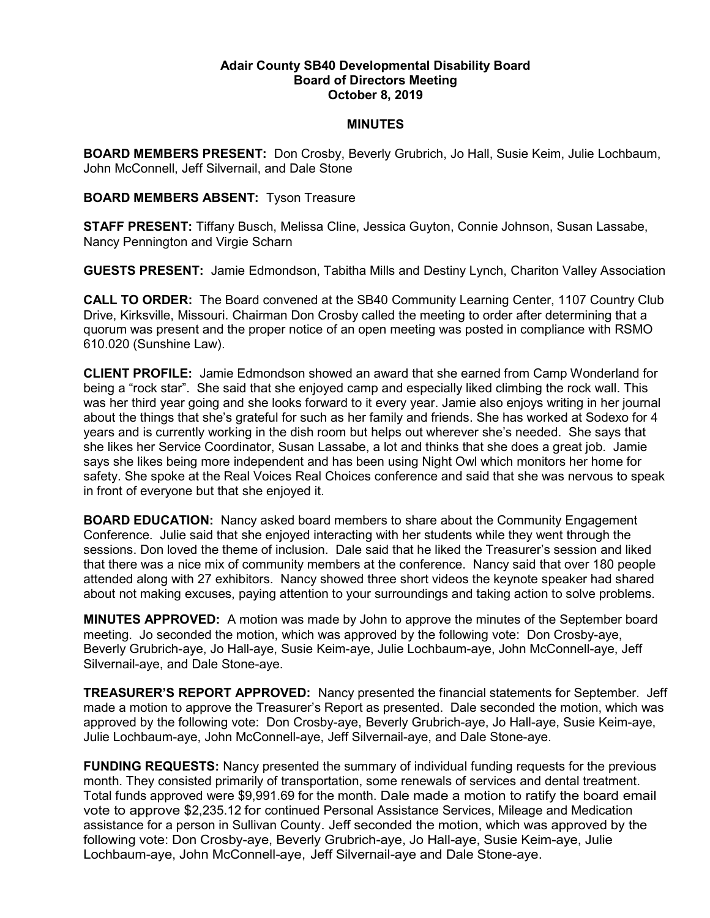## Adair County SB40 Developmental Disability Board Board of Directors Meeting October 8, 2019

## **MINUTES**

BOARD MEMBERS PRESENT: Don Crosby, Beverly Grubrich, Jo Hall, Susie Keim, Julie Lochbaum, John McConnell, Jeff Silvernail, and Dale Stone

## BOARD MEMBERS ABSENT: Tyson Treasure

STAFF PRESENT: Tiffany Busch, Melissa Cline, Jessica Guyton, Connie Johnson, Susan Lassabe, Nancy Pennington and Virgie Scharn

GUESTS PRESENT: Jamie Edmondson, Tabitha Mills and Destiny Lynch, Chariton Valley Association

CALL TO ORDER: The Board convened at the SB40 Community Learning Center, 1107 Country Club Drive, Kirksville, Missouri. Chairman Don Crosby called the meeting to order after determining that a quorum was present and the proper notice of an open meeting was posted in compliance with RSMO 610.020 (Sunshine Law).

CLIENT PROFILE: Jamie Edmondson showed an award that she earned from Camp Wonderland for being a "rock star". She said that she enjoyed camp and especially liked climbing the rock wall. This was her third year going and she looks forward to it every year. Jamie also enjoys writing in her journal about the things that she's grateful for such as her family and friends. She has worked at Sodexo for 4 years and is currently working in the dish room but helps out wherever she's needed. She says that she likes her Service Coordinator, Susan Lassabe, a lot and thinks that she does a great job. Jamie says she likes being more independent and has been using Night Owl which monitors her home for safety. She spoke at the Real Voices Real Choices conference and said that she was nervous to speak in front of everyone but that she enjoyed it.

BOARD EDUCATION: Nancy asked board members to share about the Community Engagement Conference. Julie said that she enjoyed interacting with her students while they went through the sessions. Don loved the theme of inclusion. Dale said that he liked the Treasurer's session and liked that there was a nice mix of community members at the conference. Nancy said that over 180 people attended along with 27 exhibitors. Nancy showed three short videos the keynote speaker had shared about not making excuses, paying attention to your surroundings and taking action to solve problems.

MINUTES APPROVED: A motion was made by John to approve the minutes of the September board meeting. Jo seconded the motion, which was approved by the following vote: Don Crosby-aye, Beverly Grubrich-aye, Jo Hall-aye, Susie Keim-aye, Julie Lochbaum-aye, John McConnell-aye, Jeff Silvernail-aye, and Dale Stone-aye.

TREASURER'S REPORT APPROVED: Nancy presented the financial statements for September. Jeff made a motion to approve the Treasurer's Report as presented. Dale seconded the motion, which was approved by the following vote: Don Crosby-aye, Beverly Grubrich-aye, Jo Hall-aye, Susie Keim-aye, Julie Lochbaum-aye, John McConnell-aye, Jeff Silvernail-aye, and Dale Stone-aye.

FUNDING REQUESTS: Nancy presented the summary of individual funding requests for the previous month. They consisted primarily of transportation, some renewals of services and dental treatment. Total funds approved were \$9,991.69 for the month. Dale made a motion to ratify the board email vote to approve \$2,235.12 for continued Personal Assistance Services, Mileage and Medication assistance for a person in Sullivan County. Jeff seconded the motion, which was approved by the following vote: Don Crosby-aye, Beverly Grubrich-aye, Jo Hall-aye, Susie Keim-aye, Julie Lochbaum-aye, John McConnell-aye, Jeff Silvernail-aye and Dale Stone-aye.